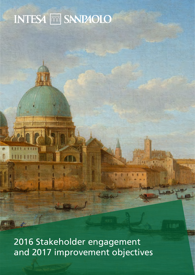# **INTESA MM SANPAOLO**

2016 Stakeholder engagement and 2017 improvement objectives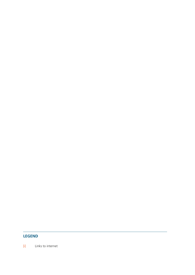# **LEGEND**

[i] Links to internet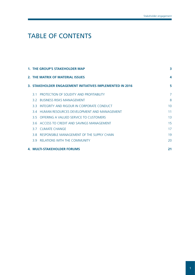# TABLE OF CONTENTS

|     | <b>1. THE GROUP'S STAKEHOLDER MAP</b>                     | 3               |
|-----|-----------------------------------------------------------|-----------------|
|     | 2. THE MATRIX OF MATERIAL ISSUES                          | 4               |
|     | 3. STAKEHOLDER ENGAGEMENT INITIATIVES IMPLEMENTED IN 2016 | 5               |
| 31  | <b>PROTECTION OF SOLIDITY AND PROFITABILITY</b>           | $\overline{7}$  |
| 32  | <b>BUSINESS RISKS MANAGEMENT</b>                          | 8               |
| 33  | INTEGRITY AND RIGOUR IN CORPORATE CONDUCT                 | 10 <sup>1</sup> |
|     | 3.4 HUMAN RESOURCES DEVELOPMENT AND MANAGEMENT            | 11              |
|     | 3.5 OFFERING A VALUED SERVICE TO CUSTOMERS                | 13              |
|     | 3.6 ACCESS TO CREDIT AND SAVINGS MANAGEMENT               | 15              |
|     | 3.7 CLIMATE CHANGE                                        | 17              |
| 3 R | RESPONSIBLE MANAGEMENT OF THE SUPPLY CHAIN                | 19              |
| 39  | <b>RELATIONS WITH THE COMMUNITY</b>                       | 20              |
|     | <b>4. MULTI-STAKEHOLDER FORUMS</b>                        | 21              |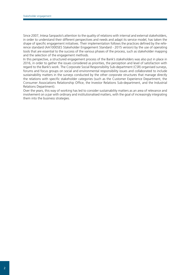Since 2007, Intesa Sanpaolo's attention to the quality of relations with internal and external stakeholders, in order to understand their different perspectives and needs and adapt its service model, has taken the shape of specific engagement initiatives. Their implementation follows the practices defined by the reference standard (AA1000SES Stakeholder Engagement Standard - 2015 version) by the use of operating tools that are essential to the success of the various phases of the process, such as stakeholder mapping and the selection of the engagement methods.

In this perspective, a structured engagement process of the Bank's stakeholders was also put in place in 2016, in order to gather the issues considered as priorities, the perception and level of satisfaction with regard to the Bank's work. The Corporate Social Responsibility Sub-department (CSR) organised surveys, forums and focus groups on social and environmental responsibility issues and collaborated to include sustainability matters in the surveys conducted by the other corporate structures that manage directly the relations with specific stakeholder categories (such as the Customer Experience Department, the Consumer Associations Relationship Office, the Investor Relations Sub-department, and the Industrial Relations Department).

Over the years, this way of working has led to consider sustainability matters as an area of relevance and involvement on a par with ordinary and institutionalised matters, with the goal of increasingly integrating them into the business strategies.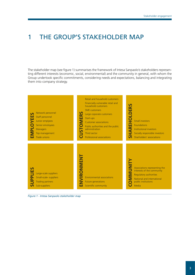# <span id="page-4-0"></span>1 THE GROUP'S STAKEHOLDER MAP

The stakeholder map (see figure 1) summarises the framework of Intesa Sanpaolo's stakeholders representing different interests (economic, social, environmental) and the community in general, with whom the Group undertook specific commitments, considering needs and expectations, balancing and integrating them into company strategy.



*Figure 1 - Intesa Sanpaolo stakeholder map*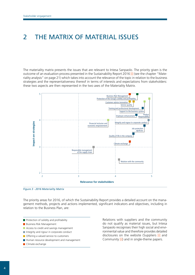# <span id="page-5-0"></span>2 THE MATRIX OF MATERIAL ISSUES

The materiality matrix presents the issues that are relevant to Intesa Sanpaolo. The priority given is the outcome of an evaluation process presented in the Sustainability Report 2016 [\[i\]](http://www.group.intesasanpaolo.com/scriptIsir0/si09/contentData/view/BILANCIO_SOCIALE_2016_eng.pdf?id=CNT-05-00000004D70E3&ct=application/pdf) (see the chapter "Materiality analysis" on page 21) which takes into account the relevance of the topic in relation to the business strategies and the representativeness thereof in terms of interests and expectations from stakeholders: these two aspects are then represented in the two axes of the Materiality Matrix.



*Figure 3 - 2016 Materiality Matrix*

The priority areas for 2016, of which the Sustainability Report provides a detailed account on the management methods, projects and actions implemented, significant indicators and objectives, including in relation to the Business Plan, are:

- **Protection of solidity and profitability**
- **Business Risk Management**
- Access to credit and savings management
- Integrity and rigour in corporate conduct
- **Offering a valued service to customers**
- Human resource development and management
- **Climate exchange**

Relations with suppliers and the community do not qualify as material issues, but Intesa Sanpaolo recognises their high social and environmental value and therefore provides detailed disclosures on the website (Suppliers [\[i\]](http://www.group.intesasanpaolo.com/scriptIsir0/si09/sostenibilita/eng_fornitori.jsp) and Community [\[i\]\)](http://www.group.intesasanpaolo.com/scriptIsir0/si09/sostenibilita/eng_comunita.jsp) and in single-theme papers.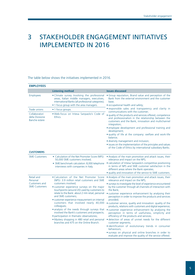# <span id="page-6-0"></span>3 STAKEHOLDER ENGAGEMENT INITIATIVES IMPLEMENTED IN 2016

# The table below shows the initiatives implemented in 2016.

| <b>EMPLOYEES</b>                                                |                                                                                                                                                                                                                                                                                                                                                                                                                                                                                                                                                                                                                                         |                                                                                                                                                                                                                                                                                                                                                                                                                                                                                                                                                                                                                                                                                                                                                                                                                                                                                                                                      |
|-----------------------------------------------------------------|-----------------------------------------------------------------------------------------------------------------------------------------------------------------------------------------------------------------------------------------------------------------------------------------------------------------------------------------------------------------------------------------------------------------------------------------------------------------------------------------------------------------------------------------------------------------------------------------------------------------------------------------|--------------------------------------------------------------------------------------------------------------------------------------------------------------------------------------------------------------------------------------------------------------------------------------------------------------------------------------------------------------------------------------------------------------------------------------------------------------------------------------------------------------------------------------------------------------------------------------------------------------------------------------------------------------------------------------------------------------------------------------------------------------------------------------------------------------------------------------------------------------------------------------------------------------------------------------|
|                                                                 | <b>Listening method</b>                                                                                                                                                                                                                                                                                                                                                                                                                                                                                                                                                                                                                 | <b>Issues discussed</b>                                                                                                                                                                                                                                                                                                                                                                                                                                                                                                                                                                                                                                                                                                                                                                                                                                                                                                              |
| Employees                                                       | . Climate survey Involving the professional<br>areas, Italian middle managers, executives,<br>international Banks (all professional categories);<br>• 1 focus group with the area managers.                                                                                                                                                                                                                                                                                                                                                                                                                                             | • Group reputation, Brand value and perception of the<br>Bank from the external environment and the customer<br>base:<br>• occupational health and safety;                                                                                                                                                                                                                                                                                                                                                                                                                                                                                                                                                                                                                                                                                                                                                                           |
| Trade unions                                                    | • 1 focus groups.                                                                                                                                                                                                                                                                                                                                                                                                                                                                                                                                                                                                                       | • responsible sales and transparency and clarity in                                                                                                                                                                                                                                                                                                                                                                                                                                                                                                                                                                                                                                                                                                                                                                                                                                                                                  |
| Collaboratori<br>della Divisione<br>Banche estere               | . Web-focus on Intesa Sanpaolo's Code of<br>Ethics.                                                                                                                                                                                                                                                                                                                                                                                                                                                                                                                                                                                     | communications with the customer;<br>· quality of the products and services offered, competence<br>and professionalism in the relationship between the<br>customers and the Bank, innovation and multichannel<br>integration;<br>· employee development and professional training and<br>development;                                                                                                                                                                                                                                                                                                                                                                                                                                                                                                                                                                                                                                |
|                                                                 |                                                                                                                                                                                                                                                                                                                                                                                                                                                                                                                                                                                                                                         | · quality of life at the company: welfare and work-life<br>balance;<br>• diversity management and inclusion;<br>• issues on the implementation of the principles and values                                                                                                                                                                                                                                                                                                                                                                                                                                                                                                                                                                                                                                                                                                                                                          |
| <b>CUSTOMERS</b>                                                |                                                                                                                                                                                                                                                                                                                                                                                                                                                                                                                                                                                                                                         | of the Code of Ethics by international subsidiary Banks.                                                                                                                                                                                                                                                                                                                                                                                                                                                                                                                                                                                                                                                                                                                                                                                                                                                                             |
| <b>SME Customers</b>                                            | • Calculation of the Net Promoter Score (NPS):                                                                                                                                                                                                                                                                                                                                                                                                                                                                                                                                                                                          | • Analysis of the main promotion and attack issues, their                                                                                                                                                                                                                                                                                                                                                                                                                                                                                                                                                                                                                                                                                                                                                                                                                                                                            |
|                                                                 | 50,000 SME customers involved;<br>• SME benchmark calculation: 8,000 telephone<br>interviews with companies in Italy.                                                                                                                                                                                                                                                                                                                                                                                                                                                                                                                   | relevance and impact on the NPS;<br>• calculation of Intesa Sanpaolo's competitive positioning<br>in terms of NPS and SME customer satisfaction in the<br>different areas where the Bank operates;                                                                                                                                                                                                                                                                                                                                                                                                                                                                                                                                                                                                                                                                                                                                   |
|                                                                 |                                                                                                                                                                                                                                                                                                                                                                                                                                                                                                                                                                                                                                         | • quality and innovation of the service to SME customers.                                                                                                                                                                                                                                                                                                                                                                                                                                                                                                                                                                                                                                                                                                                                                                                                                                                                            |
| Retail and<br>Personal<br>Customers and<br><b>SME Customers</b> | . Calculation of the Net Promoter Score<br>(NPS): 3.9 million retail customers and SME<br>customers involved;<br>• customer experience surveys on the major<br>touchpoints (around 20) used by customers to<br>relate to the Bank: about 2 mln retail, personal<br>and SME customers;<br>• customer experience measurement on internal<br>customers that involved nearly 40,000<br>colleagues;<br>• analysis of the needs through surveys that<br>involved the Bank's customers and prospects;<br>· participation in thematic observatories;<br>· Mystery shopping in 480 retail and personal<br>branches and 475 on the Online Branch. | • Analysis of the main promotion and attack issues, their<br>relevance and impact on the NPS;<br>• surveys to investigate the level of experience encountered<br>by the customer through all channels of interaction with<br>the Bank;<br>• customer experience enhancement by analysing their<br>perception in order to improve the products and services<br>provided;<br>• customer service, quality and innovation: quality of the<br>products, relations with customers and digital experience;<br>• customer experience enhancement by analysing the<br>perception in terms of usefulness, simplicity and<br>efficiency of the products and services;<br>· detection of areas of unmet needs for the different<br>customer segments;<br>· identification of evolutionary trends in consumer<br>behaviours;<br>· surveys on physical and online branches in order to<br>evaluate and improve the quality of the service offered. |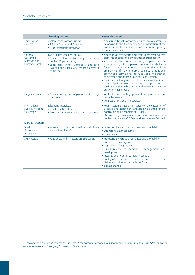|                                                                              | <b>Listening method</b>                                                                                                                                                                                            | <b>Issues discussed</b>                                                                                                                                                                                                                                                                                                                                                                                                                                                                                                                                                                                                                                      |
|------------------------------------------------------------------------------|--------------------------------------------------------------------------------------------------------------------------------------------------------------------------------------------------------------------|--------------------------------------------------------------------------------------------------------------------------------------------------------------------------------------------------------------------------------------------------------------------------------------------------------------------------------------------------------------------------------------------------------------------------------------------------------------------------------------------------------------------------------------------------------------------------------------------------------------------------------------------------------------|
| <b>Third Sector</b><br>Customers                                             | <b>Customer Satisfaction Survey:</b><br>• 8 Focus Groups and 5 interviews;<br>· 2,000 telephone interviews.                                                                                                        | • Analysis of the satisfaction and experience of customers<br>belonging to the third sector and identification of the<br>drivers behind the satisfaction, with a view to improving<br>the service offered.                                                                                                                                                                                                                                                                                                                                                                                                                                                   |
| Corporate<br>Customers,<br>Start-ups and<br><b>Innovative SMEs</b>           | Two Multistakeholder Forums:<br>· Banca dei Territori Lombardy Governance<br>Centre: 21 participants;<br>· Banca dei Territori Campania, Basilicata,<br>Calabria and Puglia Governance Centre: 26<br>participants. | • Adoption of creditworthiness assessment systems with<br>elements of social and environmental sustainability;<br>. support to the business system, in particular the<br>strengthening of companies' competitive ability to<br>foster innovation, the generational transition and the<br>emergence of new entrepreneurship, dimensional<br>growth and internationalisation, as well as the creation<br>of networks and forms of business aggregation;<br>· multichannel integration and innovative services to aid<br>companies in networking. Provision of products and<br>services to promote businesses and solutions with a low<br>environmental impact. |
| Large companies                                                              | . 2 online surveys involving a total of 669 large<br>companies.                                                                                                                                                    | . Verification of counting, payment and procurement of<br>valuables services;<br>• Verification of Acquiring services <sup>1</sup>                                                                                                                                                                                                                                                                                                                                                                                                                                                                                                                           |
| International<br><b>Subsidiary Banks</b><br>Customers<br><b>SHAREHOLDERS</b> | Telephone interviews:<br>· Retail: 1,600 customers;<br>• SMEs and large companies: 1,500 customers.                                                                                                                | . Retail: customer satisfaction survey on the customers of<br>6 Banks and benchmark analysis on a sample of the<br>population and customers of 5 Banks;<br>• SMEs and large companies: customer satisfaction analysis<br>on the customers of CIB Bank and Banca Intesa Beograd.                                                                                                                                                                                                                                                                                                                                                                              |
| Small<br>Shareholders'<br>association                                        | . Interview with the small shareholders'<br>association - E.di.Va.                                                                                                                                                 | • Protecting the Group's soundness and profitability;<br>· Business risk management;<br>• Financial inclusion.                                                                                                                                                                                                                                                                                                                                                                                                                                                                                                                                               |
| <b>SRI investors</b>                                                         | . Road show with investors on ESG topics.                                                                                                                                                                          | • Protecting the Group's soundness and profitability;<br>· business risk management;<br>· responsible sales practices;<br>· issues related to personnel management and<br>development;<br>• integrity and rigour in corporate conduct;<br>• quality of the service and customer satisfaction in the<br>dialogue and interaction with the Bank;<br>· climate change.                                                                                                                                                                                                                                                                                          |

*1 Acquiring: it is the set of services that the credit card provider provides to a shopkeeper in order to enable the latter to accept payments with cards belonging to credit or debit circuits.*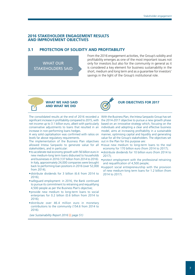#### <span id="page-8-0"></span>**2016 STAKEHOLDER ENGAGEMENT RESULTS AND IMPROVEMENT OBJECTIVES**

# **3.1 PROTECTION OF SOLIDITY AND PROFITABILITY**

WHAT OUR STAKEHOLDERS SAID

From the 2016 engagement activities, the Group's solidity and profitability emerges as one of the most important issues not only for investors but also for the community in general as it is considered a key element for business sustainability in the short, medium and long term and as a guarantee for investors' savings in the light of the Group's institutional role.





#### **OUR OBJECTIVES FOR 2017**

The consolidated results at the end of 2016 recorded a significant increase in profitability compared to 2015, with net income up to 3.1 billion euro, albeit with particularly conservative adjustments to loans that resulted in an increase in non-performing loans hedges.

levels far above regulatory requirements.

The implementation of the Business Plan objectives allowed Intesa Sanpaolo to generate value for all stakeholders, and in particular:

- to accelerate real economy growth with 56 billion euro in new medium-long term loans disbursed to households and businesses in 2016 (137 billion from 2014 to 2016). In Italy, approximately 24,000 companies were brought back to performing loan positions in 2016 (over 52,000 from 2014);
- •distribute dividends for 3 billion (6.6 from 2014 to 2016);
- safeguard employment: in 2016, the Bank continued to pursue its commitment to retraining and requalifying 4,500 people as per the Business Plan's objective;
- •provide new medium to long-term loans to social enterprises for 0.2 billion ( $0.6$  billion from 2014 to 2016);
- •distribute over 46.4 million euro in monetary contributions to the community (154.6 from 2014 to 2016).

A very solid capitalisation was confirmed with ratios on manner, optimising capital and liquidity and generating With the Business Plan, the Intesa Sanpaolo Group has set the 2014-2017 objective to pursue a new growth phase based on an innovative strategy which, focusing on the individuals and adopting a clear and effective business model, aims at increasing profitability in a sustainable value for all the Group's stakeholders. The objectives set out in the Plan for this purpose are:

- issue new medium to long-term loans to the real economy for 170 billion euro (from 2014 to 2017);
- •distribute dividends for 10 billion euro (from 2014 to 2017);
- •protect employment with the professional retraining and requalification of 4,500 people;
- support social entrepreneurship with the provision of new medium-long term loans for 1.2 billion (from 2014 to 2017).

*(see Sustainability Report 2016* [\[i\]](http://www.group.intesasanpaolo.com/scriptIsir0/si09/contentData/view/BILANCIO_SOCIALE_2016_eng.pdf?id=CNT-05-00000004D70E3&ct=application/pdf) *page 51)*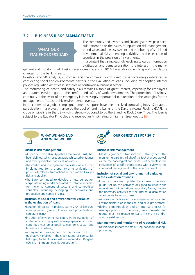# <span id="page-9-0"></span>**3.2 BUSINESS RISKS MANAGEMENT**

WHAT OUR STAKEHOLDERS SAID The community and investors and SRI analysts have paid particular attention to the issues of reputation risk management, brand value, and the assessment and monitoring of social and environmental risks in lending activities and the selection of securities in the provision of investments.

In a context that is increasingly evolving towards information digitisation and dematerialisation, the interest in the mana-

gement and monitoring of IT risks is ever increasing and in 2016 it was also subject to specific regulatory changes for the banking sector.

Investors and SRI analysts, customers and the community continued to be increasingly interested in considering social and environmental factors in the evaluation of loans, including by adopting internal policies regulating activities in sensitive or controversial business sectors.

The monitoring of health and safety risks remains a topic of great interest, especially for employees and customers with regard to the comfort and safety of work environments. The protection of business continuity in the event of an emergency is increasingly important also in relation to the strategies for the management of catastrophic environmental events.

In the context of a global campaign, numerous reports have been received contesting Intesa Sanpaolo's participation in a project finance by the pool of lending banks of the Dakota Access Pipeline (DAPL), a crude oil pipeline in the US which is strongly opposed to by the Standing Rock Sioux Tribe. The loan is subject to the Equator Principles and received an A risk rating or high risk (see website [\[i\]\)](http://www.group.intesasanpaolo.com/scriptIsir0/si09/sostenibilita/eng_equator_principles.jsp).



# **WHAT WE HAD SAID AND WHAT WE DID**



# **OUR OBJECTIVES FOR 2017**

#### **Business risk management**

- •A specific Credit Risk Appetite Framework (RAF) has been defined, which uses an approach based on ratings and other predictive statistical indicators;
- the control and management processes were further implemented for a proper ex-ante evaluation of potentially relevant transactions in terms of the Group's risk and stability;
- the Bank continued to develop a new generation corporate rating model dedicated to Italian companies for the enhancement of sectoral and competitive variables (including belonging to networks and production and supply chains).

#### **Inclusion of social and environmental variables in the evaluation of loans**

- Equator Principles: 14 projects worth 2.04 billion euro were screened (project finance and project-related corporate loans);
- inclusion of environmental criteria in the evaluation of customer financing: questionnaire preparation activities continued (customer pooling, economic sector and business size criteria);
- an agreement was signed for the inclusion of ESG qualitative variables in the credit rating of companies belonging to the Unione Cristiana Imprenditori Dirigenti (Christian Entrepreneurship Association);

#### **Business risk management**

•Most significant transactions: strengthen the monitoring, also in the light of the RAF changes, as well as the methodological and process refinements in the evaluation of specific transactions with a view to the integrated management of the various types of risk.

#### **Inclusion of social and environmental variables in the evaluation of loans**

- Equator Principles: update the internal operating guide; set up the activities designed to update the regulations for international subsidiary Banks; prepare the necessary activities for the internal dissemination of an online training course;
- issue sectoral policies for the management of social and environmental risks in the coal and oil & gas sectors;
- •define a methodology and an internal process for issuing opinions on the social, environmental and reputational risk related to loans in sensitive and/or controversial sectors.

#### **Management and monitoring of reputational risk**

•Develop/consolidate the main "Reputational Clearing" processes;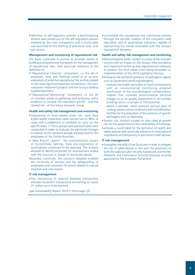•definition of self-regulatory policies: a benchmarking analysis was carried out on the self-regulation policies adopted by the main competitors and a round table was launched for the drafting of policies on coal, oil & gas sectors.

#### **Management and monitoring of reputational risk**

The Bank continued to pursue its activities aimed at building a comprehensive framework for the management of reputational risks, with particular reference to the definition of:

- •"Reputational Clearing" component, i.e. the set of processes, tools and methods aimed at an ex-ante evaluation of potential reputational risk profiles related to the most significant business transactions, the main corporate investment projects and the Group's leading suppliers/partners;
- •"Reputational Monitoring" component, i.e. the set of activities aimed at gathering and analysing useful evidence to compile the reputation profile - and the related risk - of the Intesa Sanpaolo Group.

#### **Health and safety risk management and monitoring**

- •Assessment of work-related stress risk: more than 6,000 health inspections were carried out (in 98% of cases with a judgement of suitability to carry out the specific task); 11 focus groups and questionnaires were conducted in order to evaluate the perceived changes in relation to the solutions already adopted and for the employees of the Online Branches;
- •"New Branch Layout": the environmental impact of microclimate, lighting, noise and ergonomics of workstations continued to be assessed. The analysis allowed to identify proposals for improvement shared with the structure in charge of real estate design;
- •business continuity: the solutions adopted enabled the continuity of services and the safeguarding of employees and customers for events related to natural disasters and crisis events.

#### **IT risk management**

• The monitoring of Internet Banking transactions allowed fraudulent transactions amounting to nearly 31 million euro to be blocked.

*(see Sustainability Report 2016* [\[i\]](http://www.group.intesasanpaolo.com/scriptIsir0/si09/contentData/view/BILANCIO_SOCIALE_2016_eng.pdf?id=CNT-05-00000004D70E3&ct=application/pdf) *from page 53)*

• consolidate the reputational risk monitoring process through the periodic analysis of the company's web reputation and of quantitative indicators capable of representing the trends associated with the Group's reputational dynamics.

#### **Health and safety risk management and monitoring**

- Electromagnetic fields: conduct a survey of the emission sources with an impact on the Group's sites and define and implement technical and organisational measures to prevent the limit values from being exceeded (in implementation of the 2016 Legislative Decree);
- •biological risk (potential presence of pathogenic agents such as bacteria/viruses/fungi/allergens):
	- evaluate the health and safety of work environments with an environmental monitoring program (verification of the microbiological contamination indexes that correlate environmental bacterial charges to an air quality assessment) in all complex buildings and in a sample of 100 branches;
	- define a periodic check protocol (annual plan) of cooling towers and air treatment and humidification facilities for the evaluation of the presence of specific pathogens such as legionella.
- Seismic risk: conduct surveys on sites rated at greater risk for the assessment of the vulnerability of buildings;
- activate a round table for the definition of health and safety policies with particular reference to international subsidiaries and temporary or permanent staff abroad.

#### **IT risk management**

• Strengthen the skills of the Structures in order to mitigate the risk of cyber-attacks in line with the provisions of both the national cyber security framework and the NIS (Network and Information Security) Directive recently approved by the European Parliament.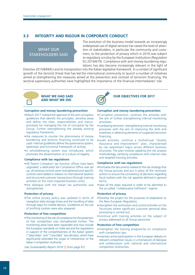# <span id="page-11-0"></span>**3.3 INTEGRITY AND RIGOUR IN CORPORATE CONDUCT**

WHAT OUR STAKEHOLDERS SAID

The evolution of the business model towards an increasingly widespread use of digital services has raised the level of attention of stakeholders, in particular the community and customers, to the protection of privacy which in 2016 was subject to regulatory scrutiny by the European Institutions (Regulation EU 2016/679). Compliance with anti-money laundering regulations has also become increasingly relevant in the light of

Directive 2015/849/EU and its transposition into the Italian legislative framework. In a context of significant growth of the terrorist threat that has led the international community to launch a number of initiatives aimed at strengthening the measures aimed at the prevention and contrast of terrorism financing, the sectoral supervisory authorities have highlighted the importance of the financial intermediaries' role.



#### **WHAT WE HAD SAID AND WHAT WE DID**

#### **Corruption and money laundering prevention**

- •March 2017 marked the approval of the anti-corruption guidelines that identify the principles, sensitive areas and define the roles, responsibilities and macroprocesses for managing the risk of corruption by the Group, further strengthening the already existing regulatory framework;
- the measures to counter the phenomena of money laundering and terrorist financing continued to be used: internal guidelines define the governance system, systematic and functional framework of activity;
- a whistleblowing system was introduced, which promotes the dissemination of a culture of legality.

#### **Compliance with tax regulations**

- •All Parent Company's tax function offices have been upgraded: a dedicated Tax Compliance Office was set up, all existing controls were strengthened and specific controls were added in relation to international taxation and structured customer transactions (through training activities on the most impacted business units);
- the dialogue with the Italian tax authorities was strengthened.

#### **Protection of privacy**

• The online privacy policy was updated in terms of navigation data storage times and the handling of data through Apps for mobile devices. Guidelines on the use of profiling cookies were also prepared.

#### **Protection of free competition**

• The monitoring of the risk of compliance for the protection of free competition was strengthened further. The monitoring areas have been expanded and now include the European standards on State aid and the regulations in support of the competitiveness of the Italian system ("Salva Italia" and "Crescitalia" law decrees), which have significantly extended the scope of intervention of the Italian Competition Authority.

*(see Sustainability Report 2016* [\[i\]](http://www.group.intesasanpaolo.com/scriptIsir0/si09/contentData/view/BILANCIO_SOCIALE_2016_eng.pdf?id=CNT-05-00000004D70E3&ct=application/pdf) *from page 81)*

#### **Corruption and money laundering prevention**

•Corruption prevention: continue the activities with the aim of further strengthening internal monitoring processes;

**OUR OBJECTIVES FOR 2017**

- combating terrorism: strengthening internal monitoring processes with the aim of improving the skills and timeliness in detecting elements of suspected terrorism financing;
- audit activities: continue a multiannual "Quality Assurance and Improvement" plan, characterised by risk assessment logics across different business structures. The plan involves updating the risk analysis methodology, verifying compliance with internal rules and targeted training activities.

#### **Compliance with tax regulations**

- Formalise the documents related to the tax strategy that the Group pursues and put in place all the necessary actions to ensure the consistency of decisions regarding fiscal matters with the risk appetite defined in general terms;
- take all the steps required in order to be admitted to the so-called "collaborative fulfilment" regime.

#### **Protection of privacy**

- •Develop the project for the purposes of adaptation to the New European Regulation;
- strengthen the verification and control activities on the Structures where significant customer personal data processing is carried out;
- continue with training activities on the subject of privacy addressed to all Group personnel.

#### **Protection of free competition**

- Strengthen the training programme on compliance with competition law;
- •maintain active participation in the European debate on relevant competition issues, in a framework of dialogue and collaboration with national and international competition Authorities.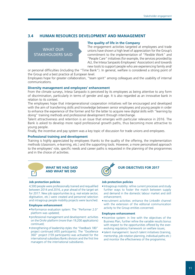# <span id="page-12-0"></span>**3.4 HUMAN RESOURCES DEVELOPMENT AND MANAGEMENT**

WHAT OUR STAKEHOLDERS SAID

#### **The quality of life in the Company**

The engagement activities targeted at employees and trade unions have shown a high level of appreciation for the Group's commitment to the implementation of "Flexible Work" and "People Care" initiatives (for example, the services provided by ALI, the Intesa Sanpaolo Employees' Association) and towards new tools to support people who are experiencing family and/

or personal difficulties (including the "Time Bank"). In general, welfare is considered a strong point of the Group and a best practice at European level.

Employees hope for greater collaboration, "team spirit" among colleagues and the usability of internal communications.

#### **Diversity management and employees' enhancement**

From the climate surveys, Intesa Sanpaolo is perceived by its employees as being attentive to any form of discrimination, particularly in terms of gender and age. It is also regarded as an innovative bank in relation to its context.

The employees hope that intergenerational cooperation initiatives will be encouraged and developed with the aim of transferring skills and knowledge between senior employees and young people in order to enhance the experience of the former and for the latter to acquire new digital skills with "learning by doing" training methods and professional development through interchange.

Talent attractiveness and retention is an issue that emerges with particular relevance in 2016. The Bank is asked to develop more rapid professional growth paths, thus becoming more attractive to young people.

Finally, the incentive and pay system was a key topic of discussion for trade unions and employees.

#### **Professional training and development**

Training is highly appreciated by employees thanks to the quality of the offering, the implementation methods (classroom, e-learning, etc.) and the supporting tools. However, a more personalised approach to the employees' role, specific needs and career paths is requested in the planning of the programmes and in the choice of activities.



# **WHAT WE HAD SAID AND WHAT WE DID**

#### **Job protection policies**

4,500 people were professionally trained and requalified between 2014 and 2016, a year ahead of the target set for 2017. New job opportunities (e.g. real estate sector, digitisation, etc.) were created and personnel selection and intragroup people mobility projects were launched.

#### **Employee enhancement**

- Performance evaluation system: The "Performer 2.0" platform was updated;
- •professional management and development: activities on the OnAir platform (more than 19,200 applications) continued;
- strengthening of leadership styles: the "Feedback 180" project continued (455 participants). The "Excellence 360" project (159 participants) was activated for the international subsidiary Banks division and the first line managers of the international subsidiaries.



• Intragroup mobility: refine current processes and study further ways to foster the match between supply and demand in the domestic labour market and skill enhancement;

**OUR OBJECTIVES FOR 2017**

• recruitment activities: enhance the LinkedIn channel with the extension of the editorial communication activity to the Group entities concerned.

#### **Employee enhancement**

- Incentive system: in line with the objectives of the Business Plan, further refine the variable results bonus with respect to the opportunities offered by the everevolving regulatory framework on welfare issues;
- talent management: launch talent initiatives (training, mentorship, job rotation planning, individual paths etc.) and monitor the effectiveness of the programme;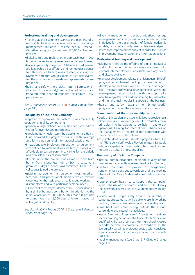#### **Professional training and development**

- Training at the customer's service: the planning of a new digital training model was launched. The change management initiative "Insieme per la Crescita" (Together for growth) continued (38,000 colleagues involved);
- •digital culture and multi-channel approach: over 1,000 hours of online training were provided to employees;
- leadership identity: the project "Dall'equilibrio di genere alla leadership della differenza" (From gender balance to difference leadership) was activated, involving the Divisions and the Group's main Structures; events for the promotion of female entrepreneurship were organised;
- •health and safety: the project "tutti in Formazione" (Training for everybody) was activated for visually impaired and hearing-impaired colleagues (147 participants).

*(see Sustainability Report 2016* [\[i\]](http://www.group.intesasanpaolo.com/scriptIsir0/si09/contentData/view/BILANCIO_SOCIALE_2016_eng.pdf?id=CNT-05-00000004D70E3&ct=application/pdf) *Human Capital from page 103)*

#### **The quality of life in the Company**

Integrated company welfare system: it was made fully operational in all its components:

- •pension: a single defined contribution pension fund was set up for over 60,000 participants;
- supplementary health care: the Supplementary Health Fund activated the project to ensure health coverage also for the personnel of international subsidiaries;
- Intesa Sanpaolo Employees' Association: an agreement was defined to implement welcare family services with affordable prices on parenting, caring for the elderly and non self-sufficient individuals;
- •flexible work: the project that allows to work from home, from a business hub, or from a customer's premises (8 days a month) was confirmed. Over 5,700 colleagues joined the project;
- •mobility management: an agreement was signed on territorial and professional mobility which favours closeness to the residence of colleagues working in distant places and with particular personal needs;
- •"Time bank": employees donated 8,078 hours, doubled by a similar business contribution, in addition to the initial allocation of 50,000. All this made it possible to grant more than 2,000 days of leave in favour of colleagues in difficulty.

*(see Sustainability Report 2016* [\[i\]](http://www.group.intesasanpaolo.com/scriptIsir0/si09/contentData/view/BILANCIO_SOCIALE_2016_eng.pdf?id=CNT-05-00000004D70E3&ct=application/pdf) *Social and Relational Capital from page 91)*

•diversity management: develop initiatives for age management and intergenerational cooperation; new initiatives for the dissemination of female leadership models; carry out a qualitative-quantitative analysis of internal perception on the subject in order to structure improvement, dissemination and information actions.

#### **Professional training and development**

- •Digitisation: set up the offering of digital, interactive and multichannel training modules on a new multichannel Internet platform, accessible from any device and always available;
- •manager development: release the "Managers' School" programme; implement the App to access training;
- •development and empowerment of the "manager's job": integrate professional development initiatives and management models including with the support of a new training offer broken down into digital, interactive and multichannel modules in support of the business;
- •health and safety: expand the "School-Work" programme to meet the students' training needs.

#### **Dissemination of the sustainability culture**

- •Code of Ethics: plan and issue initiatives to provide tools of awareness and knowledge useful to translate ethical principles into behaviours to be held in day-to-day operations; training for international subsidiaries on the management of reports of non-compliance with the Code of Ethics will continue;
- corporate identity values: develop projects which, like the "Fiore dei valori" (Value Flower) in Intesa Sanpaolo Vita, are capable of disseminating best practices and nurturing a culture of responsibility.

#### **The quality of life in the Company**

- Internal communications: refine the quality of the services and tools with increased feedback collection;
- •welfare: continue the process of reorganising supplementary pensions towards an ordinary working phase of the Group's defined contribution pension fund<sup>:</sup>
- supplementary health care: support the campaign against the risk of osteoporosis and extend territorially the network covered by the Supplementary Health Fund;
- •flexible work: progressively expand the number of corporate structures that will be able to use this working method, making it even easier and more widespread;
- time bank and volunteering outside the Group: consolidate and extend the activities;
- Intesa Sanpaolo Employees' Association: activate specific training actions on the Code of Ethics; develop qualified child care services during school closure periods; activate e-commerce conventions in the ecologically sustainable product sector, with concierge companies and with structures specialised in sustainable tourism;
- •mobility management (see Chap. 3.7 Climate Change page 17).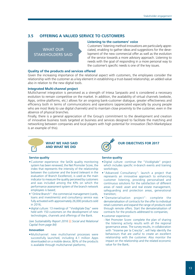# <span id="page-14-0"></span>**3.5 OFFERING A VALUED SERVICE TO CUSTOMERS**



#### **Listening to the customers' voice**

Customers' listening method innovations are particularly appreciated, enabling to gather ideas and suggestions for the development of the new commercial offer as well as the evolution of the service towards a more advisory approach. Listening to needs with the goal of responding in a more personal way to the customer's specific needs is one of the key issues.

#### **Quality of the products and services offered**

Given the increasing importance of the relational aspect with customers, the employees consider the relationship with the customer as a key element in establishing a trust-based relationship; an added value also in relation to the new digital tools.

#### **Integrated Multi-channel project**

Multichannel integration is perceived as a strength of Intesa Sanpaolo and is considered a necessary evolution to remain competitive on the market. In addition, the availability of virtual channels (website, Apps, online platforms, etc.) allows for an ongoing bank-customer dialogue, greater effectiveness and efficiency both in terms of communications and operations (appreciated especially by young people who are most likely to use digital channels) and to maintain close proximity to the customer, even in the absence of physical branches.

Finally, there is a general appreciation of the Group's commitment to the development and creation of innovative business tools targeted at business and services designed to facilitate the matching and networking between companies and local players with high potential for innovation (Tech-Marketplace is an example of this).



#### **Service quality**

- •Customer experience: the SeiOk quality monitoring system has been renewed; the Net Promoter Score, the index that represents the intensity of the relationship between the customer and the brand (relevant in the evaluation of Branch Excellence), is used as the main indicator to measure the quality perceived by customers and was included among the KPIs on which the performance assessment system of the branch network employees is based;
- •"Online Branch": the commercial management (cards, loans and investments) and consultancy service was fully activated with approximately 26,000 products sold in 2016;
- •digital culture: 13 meetings of "Vividigitale Day" were held with 150 customers on the development of new technologies, channels and offerings of the Bank.

#### *(see Sustainability Report 2016* [\[i\]](http://www.group.intesasanpaolo.com/scriptIsir0/si09/contentData/view/BILANCIO_SOCIALE_2016_eng.pdf?id=CNT-05-00000004D70E3&ct=application/pdf) *Social and Relational Capital from page 84)*

#### **Innovation**

•Multichannel: new multichannel processes were successfully launched, including 4.1 million Apps downloaded on a mobile device, 80% of the products is available through multichannel platforms;



#### **OUR OBJECTIVES FOR 2017**

#### **Service quality**

- •Digital culture: continue the "Vividigitale" project which includes specific in-branch events and training workshops;
- •"Advanced Consultancy": launch a project that represents an innovative approach to enhancing customer listening, providing personalised and continuous solutions for the satisfaction of different areas of need: asset and real estate management, safeguarding and protection areas, generational transition;
- •"Dematerialisation project": complete the dematerialisation of contracts for the offer to individual retail customers and expand the range of products sold through remote offers. Start the dematerialisation of contracts for the products addressed to companies;
- customer experience:
- Net Promoter Score: complete the plan of sharing the listening activity results with all the regional governance areas. The survey results, in collaboration with "Insieme per la Crescita", will help identify the behaviours that are useful to create an excellent relationship with the customer. Also monitor the impact on the relationship and the related economic value for the Bank;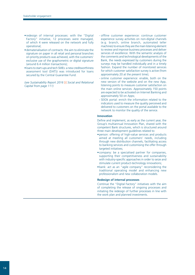- redesign of internal processes: with the "Digital Factory" initiative, 12 processes were managed, of which 4 were released on the network and fully operational;
- •dematerialisation of contracts: the aim to eliminate the signature on paper in all retail and personal branches on priority products was achieved, with the customers' exclusive use of the graphometric or digital signature (around 6.4 million transactions);
- loans to start-ups and tech SMEs: a new creditworthiness assessment tool (DATS) was introduced for loans secured by the Central Guarantee Fund.

*(see Sustainability Report 2016* [\[i\]](http://www.group.intesasanpaolo.com/scriptIsir0/si09/contentData/view/BILANCIO_SOCIALE_2016_eng.pdf?id=CNT-05-00000004D70E3&ct=application/pdf) *Social and Relational Capital from page 111)*

- offline customer experience: continue customer experience survey activities on non-digital channels (e.g. branch, online branch, automated teller machines) to ensure they are the main listening element to review and improve business processes and deliver services of excellence. With the semantic analysis of the comments and technological developments of the Bank, the needs expressed by customers during the surveys may be handled individually and in a timely fashion. Expand the number of monitored services for which customer satisfaction survey is active (from approximately 20 at the present time);
- online customer experience: enable, both on the new version of the website and on the new App, listening points to measure customer satisfaction on the main online services. Approximately 150 points are expected to be activated on Internet Banking and approximately 50 on Apps;
- SEIOk portal: enrich the information related to the indicators used to measure the quality perceived and delivered to customers on the portal available to the network to monitor the quality of the service.

#### **Innovation**

Define and implement, as early as the current year, the Group's multiannual Innovation Plan, shared with the competent Bank structures, which is structured around three main development guidelines related to:

- •person: offering of high-value services and products aimed at meeting all customers' needs, including through new distribution channels, facilitating access to banking services and customising the offer through targeted initiatives;
- company: be a specialised partner for companies, supporting their competitiveness and sustainability with industry-specific approaches in order to seize and stimulate current product-technology innovations;
- •bank: act as an "agile company" reconsidering the traditional operating model and enhancing new professionalism and new collaboration models.

#### **Redesign of internal processes**

Continue the "Digital Factory" initiatives with the aim of completing the release of ongoing processes and initiating the redesign of further processes in line with the work plan and planned investments.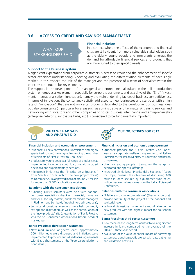# <span id="page-16-0"></span>**3.6 ACCESS TO CREDIT AND SAVINGS MANAGEMENT**

WHAT OUR STAKEHOLDERS SAID

#### **Support to the business system**

#### **Financial inclusion**

In a context where the effects of the economic and financial crisis are still evident, from more vulnerable stakeholders such as the elderly, young people and immigrants emerges the demand for affordable financial services and products that are more suited to their specific needs.

A significant expectation from corporate customers is access to credit and the enhancement of specific sector expertise: understanding, knowing and evaluating the differentiation elements of each single market. In this respect, the role of the manager and the presence of a team of specialists within the branches continue to be key elements.

The support in the development of a managerial and entrepreneurial culture in the Italian production system emerges as a key element, especially for corporate customers, and as a drive of the "3 i's" (investment, internationalisation, innovation), namely the main underlying factors of business competitiveness. In terms of innovation, the consultancy activity addressed to new businesses and start-ups with a high rate of "innovation" that are not only after products dedicated to the development of business ideas but also consultancy (in particular for areas such as administrative and tax matters), training services and networking with investors and other companies to foster business interchange and entrepreneurship (enterprise networks, innovative hubs, etc.) is considered to be fundamentally important.



# **WHAT WE HAD SAID AND WHAT WE DID**



## **OUR OBJECTIVES FOR 2017**

#### **Financial inclusion and economic empowerment**

- Students: 13 new conventions (universities and highly specialised schools) were signed expanding the number of recipients of "PerTe Prestito Con Lode";
- •products for young people: a full range of products was implemented including a youth loan, prepaid cards, ad hoc loans and supplementary pensions;
- •microcredit initiatives: the "Prestito della Speranza" from March 2015 (launch of the new project phase) to December 2016 approved loans of around 26 million for more than 3,400 applications received.

#### **Relations with the consumer associations**

- •"Sharing skills": seminars were held with national consumer associations (banking, financial, insurance and social security matters) and local middle managers in Piedmont and Lombardy (insight into credit products);
- technical discussions: meetings were held on credit, savings and digitisation, as well as the continuation of the "new products" site (presentation of Per Te Prestito Vitalizio to Consumer Associations before product marketing).

#### **Banca Prossima: third sector customers**

•New medium and long-term loans: approximately 200 million euro were disbursed and initiatives were implemented to produce subsidised loans (agreements with EIB, disbursements of the Terzo Valore platform, bond issues).

#### **Financial inclusion and economic empowerment**

- Students: propose the "PerTe Prestito Con Lode" loan as a corporate welfare programme to all Italian universities, the Italian Ministry of Education and Italian companies;
- •offer for young people: strengthen the range of dedicated and specific offering;
- •microcredit initiatives: "Prestito della Speranza" (Loan for Hope) pursues the objective of disbursing 100 million in loans secured by a guarantee fund of 25 million made up of resources from the Italian Episcopal Conference.

#### **Relations with the consumer associations**

- •"Mettere in comune competenze" (Sharing expertise): provide continuity of the project at the national and territorial level;
- technical discussions: implement a round table on the new products with the highest impact for household customers.

#### **Banca Prossima: third sector customers**

- •New medium and long-term loans: achieve a significant increase in loans compared to the average of the 2014-16 three-year period;
- evaluation of the value or social impact of borrowing customers: launch a specific project with data gathering and validation activities.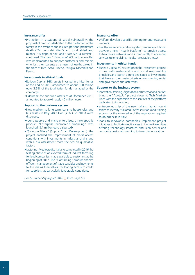#### **Insurance offer**

• Protection in situations of social vulnerability: the proposal of products dedicated to the protection of the family in the event of the insured person's premature death ("Mi curo dei Miei") and to disabled and minors ("Tu dopo di noi" and "Base Sicura Tutelati") continued. The new "Vicino a te" (Close to you) offer was implemented to support customers and minors who lost their parents as a result of earthquakes in the cities of Rieti, Ascoli Piceno, Perugia, Macerata and Fermo.

#### **Investments in ethical funds**

- Eurizon Capital SGR: assets invested in ethical funds at the end of 2016 amounted to about 900 million euro (1.3% of the total Italian funds managed by the company);
- Fideuram: the sub-fund assets as at December 2016 amounted to approximately 40 million euro.

#### **Support to the business system**

- •New medium to long-term loans to households and businesses in Italy: 48 billion (+16% vs 2015) were disbursed;
- young people and micro-enterprises: a new specific product "Enterprise microcredit financing" was launched (8.1 million euro disbursed);
- •"Sviluppo Filiere" (Supply Chain Development): the project enabled the improvement of credit access conditions with investments in industrial chains and with a risk assessment more focused on qualitative factors;
- factoring: Mediocredito Italiano completed in 2016 the testing phase of an evolved form of indirect factoring for lead companies, made available to customers at the beginning of 2017. The "Confirming" product enables efficient management of trade payables and payments to the chains themselves, facilitating access to credit for suppliers, at particularly favourable conditions.

*(see Sustainability Report 2016* [\[i\]](http://www.group.intesasanpaolo.com/scriptIsir0/si09/contentData/view/BILANCIO_SOCIALE_2016_eng.pdf?id=CNT-05-00000004D70E3&ct=application/pdf) *from page 60)*

#### **Insurance offer**

- •Welfare: develop a specific offering for businesses and workers;
- •health care services and integrated insurance solutions: activate a new "Health Platform" to provide access to healthcare networks and subsequently to advanced services (telemedicine, medical wearables, etc.).

#### **Investments in ethical funds**

• Eurizon Capital SGR: strengthen the investment process in line with sustainability and social responsibility principles and launch a fund dedicated to investments that have as their main criteria environmental, social and governance characteristics.

#### **Support to the business system**

- Innovation, training, digitisation and internationalisation: bring the "AdottUp" project closer to Tech Market-Place with the expansion of the services of the platform dedicated to innovation;
- entrepreneurship of the new Italians: launch round tables to identify "tailored" offer solutions and training actions for the knowledge of the regulations required to do business in Italy;
- loans to innovative companies: implement project initiatives to facilitate credit access to innovative entities offering technology (startups and Tech SMEs) and corporate customers wishing to invest in innovation.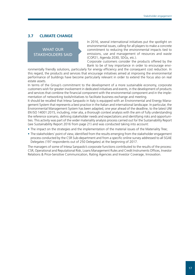# <span id="page-18-0"></span>**3.7 CLIMATE CHANGE**

WHAT OUR STAKEHOLDERS SAID In 2016, several international initiatives put the spotlight on environmental issues, calling for all players to make a concrete commitment to reducing the environmental impacts tied to emissions, use and management of resources and waste (COP21, Agenda 2030, SDGs, etc.).

Corporate customers consider the products offered by the Bank to be of key importance in order to encourage envi-

ronmentally friendly solutions, particularly for energy efficiency and the consequent cost reduction. In this regard, the products and services that encourage initiatives aimed at improving the environmental performance of buildings have become particularly relevant in order to extend the focus also on real estate assets.

In terms of the Group's commitment to the development of a more sustainable economy, corporate customers wish for greater involvement in dedicated initiatives and events, in the development of products and services that combine the financial component with the environmental component and in the implementation of networking tools/initiatives to facilitate business exchange and meeting.

It should be recalled that Intesa Sanpaolo in Italy is equipped with an Environmental and Energy Management System that represents a best practice in the Italian and international landscape. In particular, the Environmental Management System has been adapted, one year ahead of the deadline, to the latest UNI EN ISO 14001:2015, including, inter alia, a thorough context analysis with the aim of fully understanding the reference scenario, defining stakeholder needs and expectations and identifying risks and opportunities. This activity was part of the wider materiality analysis process carried out for the Sustainability Report (see Sustainability Report 2016 from page 21) and was conducted taking into account:

- The impact on the strategies and the implementation of the material issues of the Materiality Tree;
- The stakeholders' point of view, identified from the results emerging from the stakeholder engagement process conducted by the CSR Sub-department and from a specific online survey addressed to all SGAE Delegates (197 respondents out of 250 Delegates) at the beginning of 2017.

The managers of some of Intesa Sanpaolo's corporate functions contributed to the results of the process: CSR, Operational and Reputational Risk, Loans Management Rules and Credit Instruments Offices, Investor Relations & Price-Sensitive Communication, Rating Agencies and Investor Coverage, Innovation.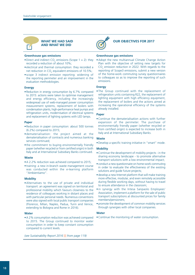**WHAT WE HAD SAID AND WHAT WE DID**



**OUR OBJECTIVES FOR 2017**

#### **Greenhouse gas emissions**

- Direct and indirect  $CO_2$  emissions (Scope 1 + 2): they recorded a reduction of about 10%;
- electrical and thermal consumption: they recorded a net reduction in CO<sub>2</sub> equivalent emissions of 10.5%;
- scope 3 indirect emission reporting: widening of the reporting perimeter and an improvement in the evaluation methodologies.

#### **Energy**

•Reduction in energy consumption by 6.7% compared to 2015: actions were taken to optimise management and energy efficiency, including the increasingly widespread use of web-managed power consumption measurement systems, replacement of boilers with condensation plants, high-performance heat pumps and refrigeration units, modernisation of electrical systems and replacement of lighting systems with LED lamps.

#### **Paper**

- •Reduction in paper consumption: about 500 tonnes (6.2%) compared to 2015;
- •dematerialisation: the project aimed at the dematerialisation of contracts and numerous banking services continued;
- the commitment to buying environmentally friendly paper (whether recycled or from certified origin) in both Italy and at International Subsidiary Banks continued.

#### **Waste**

- •A 2.2% reduction was achieved compared to 2015;
- training: a new in-branch waste management course was conducted within the e-learning platform "Ambientiamo".

#### **Mobility**

•Alternatives to the use of private and individual transport: an agreement was signed on territorial and professional mobility which favours closeness to the residence of colleagues working in distant places and with particular personal needs. Numerous conventions were also signed with local public transport companies (Florence, Milan, Naples, Padua, Turin and Venice, extending to Bologna and Rome in 2016).

#### **Water**

•A 2% consumption reduction was achieved compared to 2015. The Group continued to monitor water consumption in order to keep constant consumption compared to current levels.

*(see Sustainability Report 2016* [\[i\]](http://www.group.intesasanpaolo.com/scriptIsir0/si09/contentData/view/BILANCIO_SOCIALE_2016_eng.pdf?id=CNT-05-00000004D70E3&ct=application/pdf) *from page 119)*

#### **Greenhouse gas emissions**

•Adopt the new multiannual Climate Change Action Plan with the objective of setting new targets for  $CO<sub>2</sub>$  emission reduction in 2022. With regards to the reporting of Scope3 emissions, submit a new version of the home-work commuting survey questionnaires to colleagues so as to improve the reporting of such emissions.

#### **Energy**

• The Group continued with the replacement of refrigeration units containing R22, the replacement of lighting equipment with high efficiency equipment, the replacement of boilers and the actions aimed at increasing the operational efficiency of the systems already installed.

#### **Paper**

•Continue the dematerialisation actions with further expansion of the perimeter. The purchase of environmentally friendly paper (whether recycled or from certified origin) is expected to increase both in Italy and at International Subsidiary Banks.

#### **Waste**

•Develop a specific training initiative in "smart" mode.

#### **Mobility**

- •Continue the development of mobility projects in the sharing economy landscape - to promote alternative transport solutions with a low environmental impact;
- conduct a new questionnaire on home-work commuting in order to evaluate the effectiveness of the existing solutions and guide future projects;
- •develop a new Internet platform that will make training more effective, modular, and even remotely accessible during flexible working days, without having to travel to ensure attendance in the classroom;
- in synergy with the Intesa Sanpaolo Employees' Association, implement a platform for the sale of public transport subscriptions at discounted prices for family members/pensioners;
- •promote the development of common mobility services through synergies with other local companies.

#### **Water**

•Continue the monitoring of water consumption.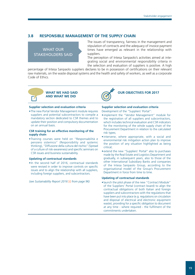# <span id="page-20-0"></span>**3.8 RESPONSIBLE MANAGEMENT OF THE SUPPLY CHAIN**

WHAT OUR STAKEHOLDERS SAID The issues of transparency, fairness in the management and stipulation of contracts and the adequacy of invoice payment times have emerged as relevant in the relationship with suppliers.

The perception of Intesa Sanpaolo's activities aimed at integrating social and environmental responsibility criteria in the selection and evaluation of suppliers is positive. A high

percentage of Intesa Sanpaolo suppliers declares to be in possession of certifications on their relevant raw materials, on the waste disposal systems and the health and safety of workers, as well as a corporate Code of Ethics.



#### **Supplier selection and evaluation criteria**

• The new Portal Vendor Management module requires suppliers and potential subcontractors to compile a mandatory section dedicated to CSR themes and to update their position and compulsory documentation on an annual basis.

#### **CSR training for an effective monitoring of the supply chain**

• Training courses were held on "Responsabilità e pensiero sistemico" (Responsibility and systemic thinking), "Diffusione della cultura del rischio" (Spread of a culture of risk-awareness) and specific seminars on CSR issues and business sustainability.

#### **Updating of contractual standards**

• In the second half of 2016, contractual standards were revised in order to improve controls on specific issues and to align the relationship with all suppliers, including foreign suppliers, and subcontractors.

*(see Sustainability Report 2016* [\[i\]](http://www.group.intesasanpaolo.com/scriptIsir0/si09/contentData/view/BILANCIO_SOCIALE_2016_eng.pdf?id=CNT-05-00000004D70E3&ct=application/pdf) *from page 96)*



# **OUR OBJECTIVES FOR 2017**

# **Supplier selection and evaluation criteria**

Development of the "Suppliers' Portal":

- implement the "Vendor Management" module for the registration of all suppliers and subcontractors, which includes technical evaluation and CSR indicators for the monitoring of the whole supply chain of the Procurement Department in relation to the calculated risk types;
- intervene, where appropriate, with a social and environmental risk mitigation action plan to improve the position of any situation highlighted as being critical;
- extend the new "Suppliers' Portal" also to purchases made by the Real Estate and Logistics Department and gradually, in subsequent years, also to those of the other International Subsidiary Banks and companies of the Intesa Sanpaolo Group, according to the organisational model of the Group's Procurement Department in force from time to time.

#### **Updating of contractual standards**

• launch the pilot phase of the new "Contract Module" of the Suppliers' Portal (contract board) to align the contractual obligations of both Italian and foreign suppliers and subcontractors with the regulations that have been put into place (e.g. regulations on circulation and disposal of electrical and electronic equipment waste), providing for a specific obligation to document at any time - where required - the fulfilment of the commitments undertaken.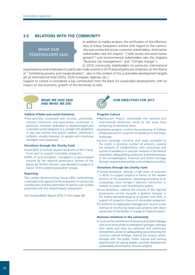# <span id="page-21-0"></span>**3.9 RELATIONS WITH THE COMMUNITY**

WHAT OUR STAKEHOLDERS SAID In addition to media analysis, the verification of the effectiveness of Intesa Sanpaolo's actions with regard to the community was conducted across customer stakeholders, third sector stakeholders (see the chapter "Credit access and asset management") and environmental stakeholders (see the chapters "Business risk management" and "Climate change").

In 2016 community stakeholders (in particular international organisations) and employees (in particular trade unions) in 2016 placed particular emphasis on the theme

of "combating poverty and marginalisation", also in the context of the sustainable development targets set at international level (SDGs, 2030 European Agenda, etc.).

Support to culture is considered a key contribution from the Bank for sustainable development, with an impact on the economic growth of the territories as well.



**WHAT WE HAD SAID AND WHAT WE DID**



# **OUR OBJECTIVES FOR 2017**

#### **Gallerie d'Italia and social initiatives**

• The activities conducted with schools, universities, cultural institutions and associations continued. In particular, initiatives dedicated to disadvantaged and vulnerable social categories (e.g. people with disabilities in day care centres and asylum seekers, Alzheimer's sufferers, visually impaired, or people with emotional disorders) were proposed.

#### **Donations through the Charity Fund**

- •Over 84% of central national donations of the Charity Fund went to support vulnerable categories;
- •68% of local donations, managed in a decentralised manner by the regional governance centres of the Banca dei Territori Division, was devoted to projects in favour of the weakest population groups.

#### **Reporting**

The London Benchmarking Group (LBG) methodology continued to be applied for the evaluation of community contributions and the submission of specific case studies presented with the related impact assessment.

*(see Sustainability Report 2016* [\[i\]](http://www.group.intesasanpaolo.com/scriptIsir0/si09/contentData/view/BILANCIO_SOCIALE_2016_eng.pdf?id=CNT-05-00000004D70E3&ct=application/pdf) *from page 98)*

#### **Progetto Cultura**

- •Restituzioni Project: consolidate the national and international dimension while at the same time enhancing its territorial value;
- exhibition projects: confirm the positioning of Gallerie d'Italia among the museums of excellence in the Italian landscape;
- artistic heritage: enhance and make available to the public a growing number of artwork; expand the network of collaborations with universities and centres of excellence in scientific research in the field of restoration, safeguarding, protection and enhancement of the archaeological, historical and artistic heritage through targeted partnerships and scholarship funding.

#### **Donations through the Charity Fund**

- •Central donations: allocate a high share of resources (> 80%) to support projects in favour of the weaker sections of the population, operating according to an increasingly more stringent selection mechanism in relation to project and counterparty quality;
- local donations: address the choices of the regional governance centres towards a gradual increase in the shares allocated equal to or greater than 60% in support of projects in favour of vulnerable categories;
- IT platform for application management: launch a new method of monitoring large-scale projects with direct ownership of the Bodies in charge of implementation.

#### **Business initiatives in the community**

•Continue the commitment to ensuring a constant dialogue with local communities to strengthen synergies, intercept their needs and carry out extensive and continuous interventions aimed at safeguarding and enhancing the country's cultural heritage, sharing the Group's artistic heritage with the public, foster cultural and training opportunities for young people, promote development sustainability and enhance inclusion projects.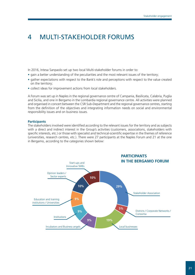# <span id="page-22-0"></span>4 MULTI-STAKEHOLDER FORUMS

In 2016, Intesa Sanpaolo set up two local Multi-stakeholder forums in order to:

- gain a better understanding of the peculiarities and the most relevant issues of the territory;
- gather expectations with respect to the Bank's role and perceptions with respect to the value created on the territory;
- collect ideas for improvement actions from local stakeholders.

A Forum was set up in Naples in the regional governance centre of Campania, Basilicata, Calabria, Puglia and Sicilia, and one in Bergamo in the Lombardia regional governance centre. All activities were planned and organised in concert between the CSR Sub-Department and the regional governance centres, starting from the definition of the objectives and integrating information needs on social and environmental responsibility issues and on business issues.

#### **Participants**

The stakeholders involved were identified according to the relevant issues for the territory and as subjects with a direct and indirect interest in the Group's activities (customers, associations, stakeholders with specific interests, etc.) or those with specialist and technical-scientific expertise in the themes of reference (universities, research centres, etc.). There were 27 participants at the Naples Forum and 21 at the one in Bergamo, according to the categories shown below:

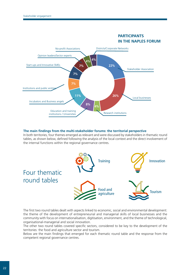

# **PARTICIPANTS**

#### **The main findings from the multi-stakeholder forums: the territorial perspective**

In both territories, four themes emerged as relevant and were discussed by stakeholders in thematic round tables, as shown below, defined following the analysis of the local context and the direct involvement of the internal functions within the regional governance centres.



The first two round tables dealt with aspects linked to economic, social and environmental development: the theme of the development of entrepreneurial and managerial skills of local businesses and the community with focus on internationalisation, digitisation, environment, and the theme of technological, organisational-managerial and social innovation.

The other two round tables covered specific sectors, considered to be key to the development of the territories: the food and agriculture sector and tourism.

Below are the main findings that emerged for each thematic round table and the response from the competent regional governance centres.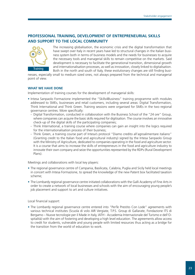# **PROFESSIONAL TRAINING, DEVELOPMENT OF ENTREPRENEURIAL SKILLS AND SUPPORT TO THE LOCAL COMMUNITY**



The increasing globalisation, the economic crisis and the digital transformation that have swept over Italy in recent years have led to structural changes in the Italian business system both in terms of business models and the needs for businesses to acquire the necessary tools and managerial skills to remain competitive on the markets. Said development is necessary to facilitate the generational transition, dimensional growth and internationalisation processes, as well as innovation, closely linked to digitalisation. Both in the north and south of Italy, these evolutionary changes are still finding busi-

nesses, especially small to medium sized ones, not always prepared from the technical and managerial point of view.

## **WHAT WE HAVE DONE**

Implementation of training courses for the development of managerial skills:

- Intesa Sanpaolo Formazione implemented the "Skills4Business" training programme with modules addressed to SMEs, businesses and retail customers, including several areas: Digital Transformation, Think International and Think Green. Training sessions were organised for SMEs in the two regional governance centres. More specifically:
	- Digital Transformation, conducted in collaboration with the Business School of the "24 ore" Group, where companies can acquire the basic skills required for digitisation. The course involves an innovative check-up of the digital skills of the participating companies;
	- Think International, a training course where companies can gain an insight into the logics required for the internationalisation process of their business;
	- Think Green, a training course part of Intesa's protocol "Diamo credito all'agroalimentare italiano" (Granting credit to the Italian food and agricultural industry) signed by the Intesa Sanpaolo Group with the Ministry of Agriculture, dedicated to companies operating in the food and agriculture sector. It is a course that aims to increase the skills of entrepreneurs in the food and agriculture industry to innovate their own company and seize the opportunities represented by the RDPs (Rural Development Plans).

Meetings and collaborations with local key players:

- The regional governance centre of Campania, Basilicata, Calabria, Puglia and Sicily held local meetings in concert with Intesa Formazione, to spread the knowledge of the new Patent box facilitated taxation scheme;
- The Lombardy regional governance centre initiated collaborations with the Galli Academy of Fine Arts in order to create a network of local businesses and schools with the aim of encouraging young people's job placement and support to art and culture initiatives.

Local financial support:

• The Lombardy regional governance centre entered into "PerTe Prestito Con Lode" agreements with various technical institutes (Scuola di volo AIR Vergiate, T.P.S. Group di Gallarate, Fondazione ITS di Bergamo – Nuove tecnologie per il Made in Italy, IATH - Accademia Internazionale del Turismo e dell'Ospitalità) with the aim of fostering and developing a high level education. The agreements allow access to credit for students, vulnerable and young people with limited resources thus acting as a bridge for the transition from the world of education to work.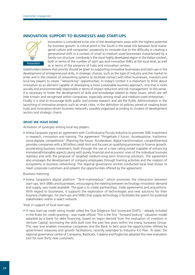# **INNOVATION: SUPPORT TO BUSINESSES AND START-UPS**



Innovation is considered to be one of the development areas with the highest potential for business growth. A critical point in the South is the weak link between local managerial culture and companies' propensity to innovate due to the difficulty in creating a generational shift in a context of small to medium sized businesses characterised by a family-run structure. Lombardy is the most highly developed region in the Italian context, both in terms of the number of start-ups and innovative SMEs at the local level, as well as in terms of the presence of hubs and innovation centres.

Stakeholders believe that priority should be given to supporting innovative businesses and start-ups in the development of entrepreneurial skills, in strategic choices, such as the type of industry and the market to enter and in the creation of networking systems to facilitate contact with other businesses, investors and local key players to create "networking" opportunities. In today's context it is important to think about innovation as an element capable of developing a more sustainable business approach, one that is more socially and environmentally responsible in terms of impact reduction and risk management. In this sense, it is necessary to foster the development of skills and knowledge related to these issues, which are still little known and recognised within companies, especially among small and medium-sized enterprises. Finally, it is vital to encourage both public and private research and aid the Public Administration in the launching of innovative projects such as smart cities, in the definition of policies aimed at creating brain hubs and innovation-driven business networks, possibly organised according to clusters of development sectors and strategic chains.

### **WHAT WE HAVE DONE**

Activation of synergies among local key players:

• Intesa Sanpaolo signed an agreement with Confindustria Piccola Industria to promote SME investment in research, innovation and training. The agreement "Progettare il futuro. Accelerazione, trasformazione digitale, competitività" (Planning the future. Acceleration, digital transformation, competitiveness) provides companies with a 90 billion credit limit and focuses on qualifying processes to finance growth, accelerating business investment, both through the use of a new rating model (capable of enhancing immaterial/intangible aspects along with purely financial and economic ones of the individual business realities) and with the proposal of targeted medium-long term financing solutions. The agreement also envisages the development of company employees through training activities and the creation of ecosystems or business networking. The regional governance centres conducted local road shows to meet corporate customers and present the opportunities offered by the agreement.

Business matching:

• Intesa Sanpaolo's digital platform "Tech-marketplace" which promotes the interaction between start-ups, tech SMEs and businesses, encouraging the meeting between technology innovation demand and supply, was made available. The goal is to create partnerships, trade agreements and acquisitions. With regard to businesses, it supports the exploration of technologies and new solutions for their business challenges. For start-ups and SMEs that supply technology, it facilitates the search for potential stakeholders within a select network.

Tools in support of local start-ups:

• A new start-up credit rating model called the Due Diligence Tool Scorecard (DATS) - already included in the Rules for credit-granting - was made official. This is the first "forward looking" valuation model adopted by a bank for debt financing, based on logics derived from the evaluation of investors in Venture Capital, borrowing the skills built over the past few years within the Intesa Sanpaolo Group. This new tool enables innovative companies and the Bank to best seize the opportunities offered by government measures and growth facilitations, recently extended to Industria 4.0 Plan. To date, the regional governance centre of Campania, Basilicata, Calabria and Puglia has adopted this new evaluation tool for over thirty new customers.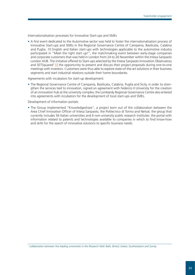Internationalisation processes for Innovative Start-ups and SMEs

• A first event dedicated to the Automotive sector was held to foster the internationalisation process of Innovative Start-ups and SMEs in the Regional Governance Centre of Campania, Basilicata, Calabria and Puglia. 10 English and Italian start-ups with technologies applicable to the automotive industry participated in "Meet the right start up!", the matchmaking event between early-stage companies and corporate customers that was held in London from 24 to 26 November within the Intesa Sanpaolo London HUB. The initiative offered to Start-ups selected by the Intesa Sanpaolo Innovation Observatory and SETSquared<sup>1</sup> [\[i\]](http://www.setsquared.co.uk/) the opportunity to present and discuss their project proposals during one-to-one meetings with investors. Customers were thus able to explore state-of-the-art solutions in their business segments and start industrial relations outside their home boundaries.

Agreements with incubators for start-up development:

• The Regional Governance Centre of Campania, Basilicata, Calabria, Puglia and Sicily, in order to strengthen the services tied to innovation, signed an agreement with Federico II University for the creation of an innovation hub at the university complex; the Lombardy Regional Governance Centre also entered into agreements with incubators for the development of local start-ups and SMEs.

Development of information portals:

• The Group implemented "Knowledgeshare", a project born out of the collaboration between the Area Chief Innovation Officer of Intesa Sanpaolo, the Politecnico di Torino and Netval, the group that currently includes 56 Italian universities and 6 non-university public research institutes: the portal with information related to patents and technologies available to companies in which to find know-how and skills for the search of innovative solutions to specific business needs.

<sup>1</sup> collaboration between five leading universities in the Research field: Bath, Bristol, Exeter, Southampton and Surrey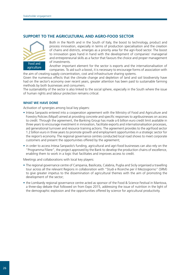# **SUPPORT TO THE AGRICULTURAL AND AGRO-FOOD SECTOR**



Both in the North and in the South of Italy, the boost to technology, product and process innovation, especially in terms of production specialisation and the creation of chains and districts, emerges as a priority area for the agri-food sector. The boost to innovation goes hand in hand with the development of companies' managerial and entrepreneurial skills as a factor that favours the choice and proper management of investments.

Another important element for the sector is exports and the internationalisation of companies. To aid such a boost, it is necessary to encourage forms of association with the aim of creating supply concentration, cost and infrastructure sharing systems.

Given the numerous effects that the climate change and depletion of land and soil biodiversity have had on the sector's economy over recent years, greater attention has been paid to sustainable farming methods by both businesses and consumers.

The sustainability of the sector is also linked to the social sphere, especially in the South where the issue of human rights and labour protection remains critical.

### **WHAT WE HAVE DONE**

Activation of synergies among local key players:

- Intesa Sanpaolo entered into a cooperation agreement with the Ministry of Food and Agriculture and Forestry Policies (Mipaf) aimed at providing concrete and specific responses to agribusinesses on access to credit. Through the agreement, the Banking Group has made a 6 billion euro credit limit available in three years to encourage investment in innovation, facilitate exports and internationalisation processes, aid generational turnover and resource training actions. The agreement provides to the agrifood sector 1.2 billion euro in three years to promote growth and employment opportunities in a strategic sector for the region's economy. The regional governance centres conducted local road shows to meet corporate customers and present the opportunities offered by the agreement;
- in order to access Intesa Sanpaolo's funding, agricultural and agri-food businesses can also rely on the "Programma Filiere", the project approved by the Bank to develop the production chains of excellence, enabling them to work in a logic that facilitates and improves access to credit.

Meetings and collaborations with local key players:

- The regional governance centre of Campania, Basilicata, Calabria, Puglia and Sicily organised a travelling tour across all the relevant Regions in collaboration with "Studi e Ricerche per il Mezzogiorno" (SRM) to give greater impetus to the dissemination of agricultural themes with the aim of promoting the development of the sector;
- the Lombardy regional governance centre acted as sponsor of the Food & Science Festival in Mantova, a three-day debate that followed on from Expo 2015, addressing the issue of nutrition in the light of the demographic explosion and the opportunities offered by science for agricultural productivity.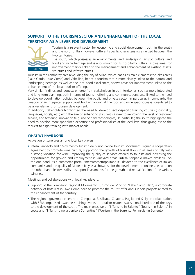# **SUPPORT TO THE TOURISM SECTOR AND ENHANCEMENT OF THE LOCAL TERRITORY AS A LEVER FOR DEVELOPMENT**



Tourism is a relevant sector for economic and social development both in the south and the north of Italy, however different specific characteristics emerged between the two territories.

The south, which possesses an environmental and landscaping, artistic, cultural and food and wine heritage and is also known for its hospitality culture, shows areas for improvement mainly linked to the management and enhancement of existing assets, structures and infrastructures.

Tourism in the Lombardy area (excluding the city of Milan) which has as its main elements the lakes areas (Lake Garda, Lake Como) and Valtellina, hence a tourism that is more closely linked to the natural and landscaping heritage, as well as the local food excellences, shows areas for improvement linked to the enhancement of the local tourism offering.

Very similar findings and requests emerge from stakeholders in both territories, such as more integrated and long-term planning, both in terms of tourism offering and communications, also linked to the need to develop coordination policies between the public and private sector. In particular, in Lombardy, the creation of an integrated supply capable of enhancing all the food and wine specificities is considered to be a key element for tourism development.

In addition, stakeholders highlighted the need to develop sector-specific training courses (hospitality, languages, hotels, etc.) with the aim of enhancing skills with a view to improving the level of customer service, and fostering innovation (e.g. use of new technologies). In particular, the south highlighted the need to develop more specialised expertise and professionalism at the local level thus giving rise to the request to align training with market needs.

#### **WHAT WE HAVE DONE**

Activation of synergies among local key players:

• Intesa Sanpaolo and "Movimento Turismo del Vino" (Wine Tourism Movement) signed a cooperation agreement to promote wine culture, supporting the growth of tourist flows in all areas of Italy with a strong vocation for wine, improving the quality of services offered to tourists and increasing the opportunities for growth and employment in vineyard areas. Intesa Sanpaolo makes available, on the one hand, its e-commerce portal "mercatometropolitano.it" devoted to the excellence of Italian companies and the quality of Made in Italy as a showcase for the development of online sales and, on the other hand, its own skills to support investments for the growth and requalification of the various wineries.

Meetings and collaborations with local key players:

- Support of the Lombardy Regional Movimento Turismo del Vino to "Lake Como Net", a corporate network of hoteliers in Lake Como born to promote the tourist offer and support projects related to the enhancement of the territory;
- The regional governance centre of Campania, Basilicata, Calabria, Puglia and Sicily, in collaboration with SRM, organised awareness-raising events on tourism related issues, considered one of the keys to the development of the south. The main ones were: "Il Turismo in Salento" (Tourism in Salento) in Lecce and "Il Turismo nella penisola Sorrentina" (Tourism in the Sorrento Peninsula) in Sorrento.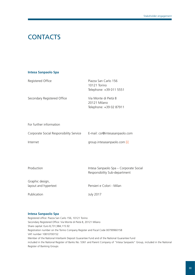# **CONTACTS**

### **Intesa Sanpaolo Spa**

| Registered Office                       | Piazza San Carlo 156<br>10121 Torino<br>Telephone: +39 011 5551         |
|-----------------------------------------|-------------------------------------------------------------------------|
| Secondary Registered Office             | Via Monte di Pietà 8<br>20121 Milano<br>Telephone: +39 02 87911         |
| For further information                 |                                                                         |
| Corporate Social Responsibility Service | E-mail: csr@intesasanpaolo.com                                          |
| Internet                                | group.intesasanpaolo.com [i]                                            |
|                                         |                                                                         |
|                                         |                                                                         |
| Production                              | Intesa Sanpaolo Spa - Corporate Social<br>Responsibility Sub-department |
| Graphic design,<br>layout and hypertext | Pensieri e Colori - Milan                                               |
|                                         |                                                                         |

Publication July 2017

### **Intesa Sanpaolo Spa**

Registered office: Piazza San Carlo 156, 10121 Torino Secondary Registered Office: Via Monte di Pietà 8, 20121 Milano Share capital: Euro 8,731,984,115.92 Registration number on the Torino Company Register and Fiscal Code 00799960158 VAT number 10810700152 Member of the National Interbank Deposit Guarantee Fund and of the National Guarantee Fund included in the National Register of Banks No. 5361 and Parent Company of "Intesa Sanpaolo" Group, included in the National Register of Banking Groups